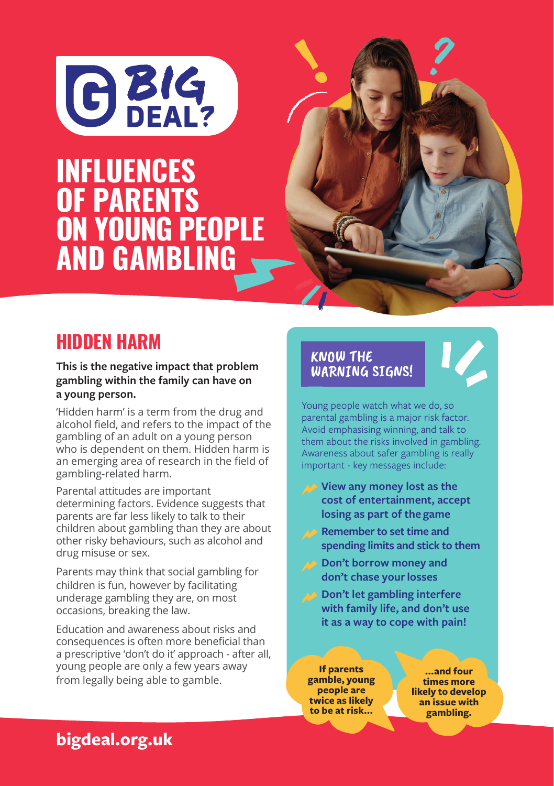

# **Problem gambling and solve and solve and solve and solve and solve and solve and solve and solve and solve and solve and solve and solve and solve and solve and solve and solve and solve and solve and solve and solve and AND GAMBLING** INFLUENCES **OF PARENTS** ON YOUNG PEOPLE



#### **This is the negative impact that problem gambling within the family can have on a young person.**

'Hidden harm' is a term from the drug and alcohol field, and refers to the impact of the gambling of an adult on a young person who is dependent on them. Hidden harm is an emerging area of research in the field of gambling-related harm.

Parental attitudes are important determining factors. Evidence suggests that parents are far less likely to talk to their children about gambling than they are about other risky behaviours, such as alcohol and drug misuse or sex.

Parents may think that social gambling for children is fun, however by facilitating underage gambling they are, on most occasions, breaking the law.

Education and awareness about risks and consequences is often more beneficial than a prescriptive 'don't do it' approach - after all, young people are only a few years away from legally being able to gamble.

### KNOW THE WARNING SIGNS!

Young people watch what we do, so parental gambling is a major risk factor. Avoid emphasising winning, and talk to them about the risks involved in gambling. Awareness about safer gambling is really important - key messages include:

- **View any money lost as the cost of entertainment, accept losing as part of the game**
- **Remember to set time and spending limits and stick to them**
- **Don't borrow money and don't chase your losses**
- **Don't let gambling interfere with family life, and don't use it as a way to cope with pain!**

**If parents gamble, young people are twice as likely to be at risk...**

**...and four times more likely to develop an issue with gambling.**

## **bigdeal.org.uk**